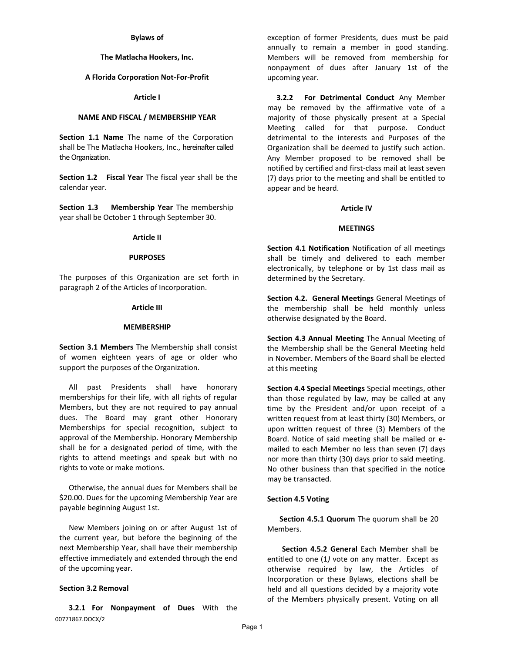## **Bylaws of**

## **The Matlacha Hookers, Inc.**

## **A Florida Corporation Not-For-Profit**

# **Article I**

## **NAME AND FISCAL / MEMBERSHIP YEAR**

**Section 1.1 Name** The name of the Corporation shall be The Matlacha Hookers, Inc., hereinafter called the Organization.

**Section 1.2 Fiscal Year** The fiscal year shall be the calendar year.

**Section 1.3 Membership Year** The membership year shall be October 1 through September 30.

## **Article II**

#### **PURPOSES**

The purposes of this Organization are set forth in paragraph 2 of the Articles of Incorporation.

## **Article III**

#### **MEMBERSHIP**

**Section 3.1 Members** The Membership shall consist of women eighteen years of age or older who support the purposes of the Organization.

All past Presidents shall have honorary memberships for their life, with all rights of regular Members, but they are not required to pay annual dues. The Board may grant other Honorary Memberships for special recognition, subject to approval of the Membership. Honorary Membership shall be for a designated period of time, with the rights to attend meetings and speak but with no rights to vote or make motions.

Otherwise, the annual dues for Members shall be \$20.00. Dues for the upcoming Membership Year are payable beginning August 1st.

New Members joining on or after August 1st of the current year, but before the beginning of the next Membership Year, shall have their membership effective immediately and extended through the end of the upcoming year.

## **Section 3.2 Removal**

00771867.DOCX/2 **3.2.1 For Nonpayment of Dues** With the exception of former Presidents, dues must be paid annually to remain a member in good standing. Members will be removed from membership for nonpayment of dues after January 1st of the upcoming year.

**3.2.2 For Detrimental Conduct** Any Member may be removed by the affirmative vote of a majority of those physically present at a Special Meeting called for that purpose. Conduct detrimental to the interests and Purposes of the Organization shall be deemed to justify such action. Any Member proposed to be removed shall be notified by certified and first-class mail at least seven (7) days prior to the meeting and shall be entitled to appear and be heard.

## **Article IV**

## **MEETINGS**

**Section 4.1 Notification** Notification of all meetings shall be timely and delivered to each member electronically, by telephone or by 1st class mail as determined by the Secretary.

**Section 4.2. General Meetings** General Meetings of the membership shall be held monthly unless otherwise designated by the Board.

**Section 4.3 Annual Meeting** The Annual Meeting of the Membership shall be the General Meeting held in November. Members of the Board shall be elected at this meeting

**Section 4.4 Special Meetings** Special meetings, other than those regulated by law, may be called at any time by the President and/or upon receipt of a written request from at least thirty (30) Members, or upon written request of three (3) Members of the Board. Notice of said meeting shall be mailed or emailed to each Member no less than seven (7) days nor more than thirty (30) days prior to said meeting. No other business than that specified in the notice may be transacted.

## **Section 4.5 Voting**

**Section 4.5.1 Quorum** The quorum shall be 20 Members.

**Section 4.5.2 General** Each Member shall be entitled to one (1*)* vote on any matter. Except as otherwise required by law, the Articles of Incorporation or these Bylaws, elections shall be held and all questions decided by a majority vote of the Members physically present. Voting on all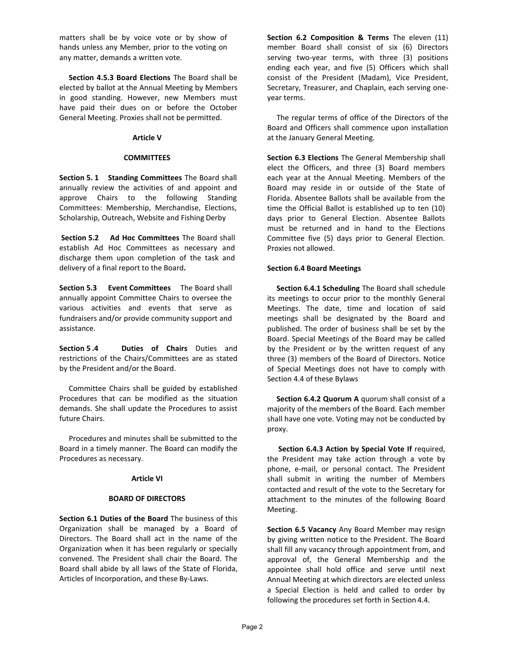matters shall be by voice vote or by show of hands unless any Member, prior to the voting on any matter, demands a written vote.

**Section 4.5.3 Board Elections** The Board shall be elected by ballot at the Annual Meeting by Members in good standing. However, new Members must have paid their dues on or before the October General Meeting. Proxies shall not be permitted.

# **Article V**

# **COMMITTEES**

**Section 5. 1 Standing Committees** The Board shall annually review the activities of and appoint and approve Chairs to the following Standing Committees: Membership, Merchandise, Elections, Scholarship, Outreach, Website and Fishing Derby

**Section 5.2 Ad Hoc Committees** The Board shall establish Ad Hoc Committees as necessary and discharge them upon completion of the task and delivery of a final report to the Board**.**

**Section 5.3 Event Committees** The Board shall annually appoint Committee Chairs to oversee the various activities and events that serve as fundraisers and/or provide community support and assistance.

**Section 5 .4 Duties of Chairs** Duties and restrictions of the Chairs/Committees are as stated by the President and/or the Board.

Committee Chairs shall be guided by established Procedures that can be modified as the situation demands. She shall update the Procedures to assist future Chairs.

Procedures and minutes shall be submitted to the Board in a timely manner. The Board can modify the Procedures as necessary.

# **Article VI**

# **BOARD OF DIRECTORS**

**Section 6.1 Duties of the Board** The business of this Organization shall be managed by a Board of Directors. The Board shall act in the name of the Organization when it has been regularly or specially convened. The President shall chair the Board. The Board shall abide by all laws of the State of Florida, Articles of Incorporation, and these By-Laws.

**Section 6.2 Composition & Terms** The eleven (11) member Board shall consist of six (6) Directors serving two-year terms, with three (3) positions ending each year, and five (5) Officers which shall consist of the President (Madam), Vice President, Secretary, Treasurer, and Chaplain, each serving oneyear terms.

The regular terms of office of the Directors of the Board and Officers shall commence upon installation at the January General Meeting.

**Section 6.3 Elections** The General Membership shall elect the Officers, and three (3) Board members each year at the Annual Meeting. Members of the Board may reside in or outside of the State of Florida. Absentee Ballots shall be available from the time the Official Ballot is established up to ten (10) days prior to General Election. Absentee Ballots must be returned and in hand to the Elections Committee five (5) days prior to General Election. Proxies not allowed.

# **Section 6.4 Board Meetings**

**Section 6.4.1 Scheduling** The Board shall schedule its meetings to occur prior to the monthly General Meetings. The date, time and location of said meetings shall be designated by the Board and published. The order of business shall be set by the Board. Special Meetings of the Board may be called by the President or by the written request of any three (3) members of the Board of Directors. Notice of Special Meetings does not have to comply with Section 4.4 of these Bylaws

**Section 6.4.2 Quorum A** quorum shall consist of a majority of the members of the Board. Each member shall have one vote. Voting may not be conducted by proxy.

**Section 6.4.3 Action by Special Vote If** required, the President may take action through a vote by phone, e-mail, or personal contact. The President shall submit in writing the number of Members contacted and result of the vote to the Secretary for attachment to the minutes of the following Board Meeting.

**Section 6.5 Vacancy** Any Board Member may resign by giving written notice to the President. The Board shall fill any vacancy through appointment from, and approval of, the General Membership and the appointee shall hold office and serve until next Annual Meeting at which directors are elected unless a Special Election is held and called to order by following the procedures set forth in Section 4.4.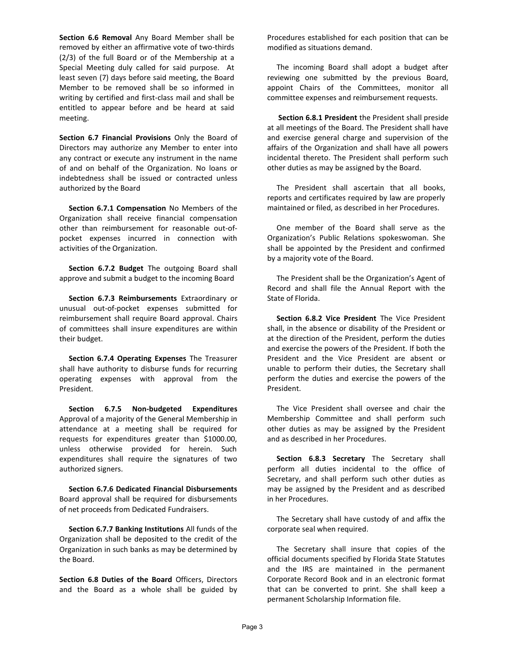**Section 6.6 Removal** Any Board Member shall be removed by either an affirmative vote of two-thirds (2/3) of the full Board or of the Membership at a Special Meeting duly called for said purpose. At least seven (7) days before said meeting, the Board Member to be removed shall be so informed in writing by certified and first-class mail and shall be entitled to appear before and be heard at said meeting.

**Section 6.7 Financial Provisions** Only the Board of Directors may authorize any Member to enter into any contract or execute any instrument in the name of and on behalf of the Organization. No loans or indebtedness shall be issued or contracted unless authorized by the Board

**Section 6.7.1 Compensation** No Members of the Organization shall receive financial compensation other than reimbursement for reasonable out-ofpocket expenses incurred in connection with activities of the Organization.

**Section 6.7.2 Budget** The outgoing Board shall approve and submit a budget to the incoming Board

**Section 6.7.3 Reimbursements** Extraordinary or unusual out-of-pocket expenses submitted for reimbursement shall require Board approval. Chairs of committees shall insure expenditures are within their budget.

**Section 6.7.4 Operating Expenses** The Treasurer shall have authority to disburse funds for recurring operating expenses with approval from the President.

**Section 6.7.5 Non-budgeted Expenditures**  Approval of a majority of the General Membership in attendance at a meeting shall be required for requests for expenditures greater than \$1000.00, unless otherwise provided for herein. Such expenditures shall require the signatures of two authorized signers.

**Section 6.7.6 Dedicated Financial Disbursements**  Board approval shall be required for disbursements of net proceeds from Dedicated Fundraisers.

**Section 6.7.7 Banking Institutions** All funds of the Organization shall be deposited to the credit of the Organization in such banks as may be determined by the Board.

**Section 6.8 Duties of the Board** Officers, Directors and the Board as a whole shall be guided by Procedures established for each position that can be modified as situations demand.

The incoming Board shall adopt a budget after reviewing one submitted by the previous Board, appoint Chairs of the Committees, monitor all committee expenses and reimbursement requests.

**Section 6.8.1 President** the President shall preside at all meetings of the Board. The President shall have and exercise general charge and supervision of the affairs of the Organization and shall have all powers incidental thereto. The President shall perform such other duties as may be assigned by the Board.

The President shall ascertain that all books, reports and certificates required by law are properly maintained or filed, as described in her Procedures.

One member of the Board shall serve as the Organization's Public Relations spokeswoman. She shall be appointed by the President and confirmed by a majority vote of the Board.

The President shall be the Organization's Agent of Record and shall file the Annual Report with the State of Florida.

**Section 6.8.2 Vice President** The Vice President shall, in the absence or disability of the President or at the direction of the President, perform the duties and exercise the powers of the President. If both the President and the Vice President are absent or unable to perform their duties, the Secretary shall perform the duties and exercise the powers of the President.

The Vice President shall oversee and chair the Membership Committee and shall perform such other duties as may be assigned by the President and as described in her Procedures.

**Section 6.8.3 Secretary** The Secretary shall perform all duties incidental to the office of Secretary, and shall perform such other duties as may be assigned by the President and as described in her Procedures.

The Secretary shall have custody of and affix the corporate seal when required.

The Secretary shall insure that copies of the official documents specified by Florida State Statutes and the IRS are maintained in the permanent Corporate Record Book and in an electronic format that can be converted to print. She shall keep a permanent Scholarship Information file.